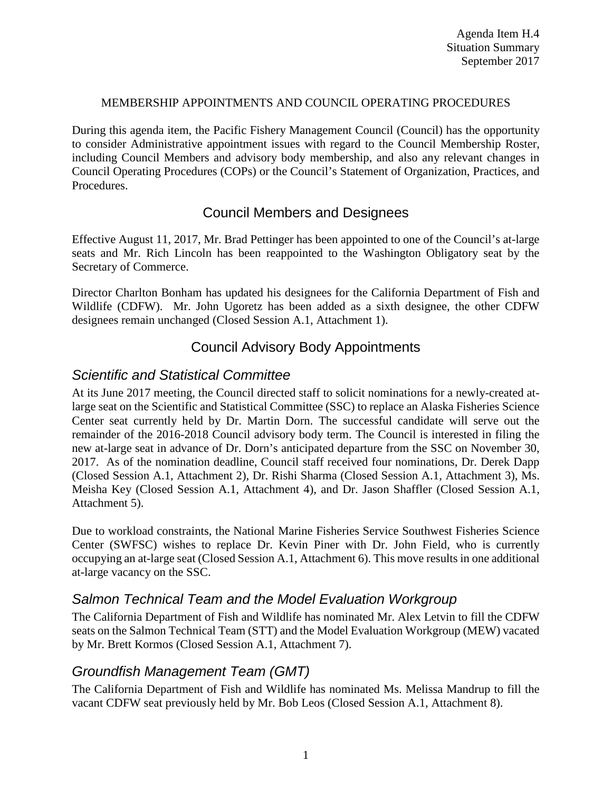#### MEMBERSHIP APPOINTMENTS AND COUNCIL OPERATING PROCEDURES

During this agenda item, the Pacific Fishery Management Council (Council) has the opportunity to consider Administrative appointment issues with regard to the Council Membership Roster, including Council Members and advisory body membership, and also any relevant changes in Council Operating Procedures (COPs) or the Council's Statement of Organization, Practices, and Procedures.

## Council Members and Designees

Effective August 11, 2017, Mr. Brad Pettinger has been appointed to one of the Council's at-large seats and Mr. Rich Lincoln has been reappointed to the Washington Obligatory seat by the Secretary of Commerce.

Director Charlton Bonham has updated his designees for the California Department of Fish and Wildlife (CDFW). Mr. John Ugoretz has been added as a sixth designee, the other CDFW designees remain unchanged (Closed Session A.1, Attachment 1).

### Council Advisory Body Appointments

### *Scientific and Statistical Committee*

At its June 2017 meeting, the Council directed staff to solicit nominations for a newly-created atlarge seat on the Scientific and Statistical Committee (SSC) to replace an Alaska Fisheries Science Center seat currently held by Dr. Martin Dorn. The successful candidate will serve out the remainder of the 2016-2018 Council advisory body term. The Council is interested in filing the new at-large seat in advance of Dr. Dorn's anticipated departure from the SSC on November 30, 2017. As of the nomination deadline, Council staff received four nominations, Dr. Derek Dapp (Closed Session A.1, Attachment 2), Dr. Rishi Sharma (Closed Session A.1, Attachment 3), Ms. Meisha Key (Closed Session A.1, Attachment 4), and Dr. Jason Shaffler (Closed Session A.1, Attachment 5).

Due to workload constraints, the National Marine Fisheries Service Southwest Fisheries Science Center (SWFSC) wishes to replace Dr. Kevin Piner with Dr. John Field, who is currently occupying an at-large seat (Closed Session A.1, Attachment 6). This move results in one additional at-large vacancy on the SSC.

### *Salmon Technical Team and the Model Evaluation Workgroup*

The California Department of Fish and Wildlife has nominated Mr. Alex Letvin to fill the CDFW seats on the Salmon Technical Team (STT) and the Model Evaluation Workgroup (MEW) vacated by Mr. Brett Kormos (Closed Session A.1, Attachment 7).

## *Groundfish Management Team (GMT)*

The California Department of Fish and Wildlife has nominated Ms. Melissa Mandrup to fill the vacant CDFW seat previously held by Mr. Bob Leos (Closed Session A.1, Attachment 8).